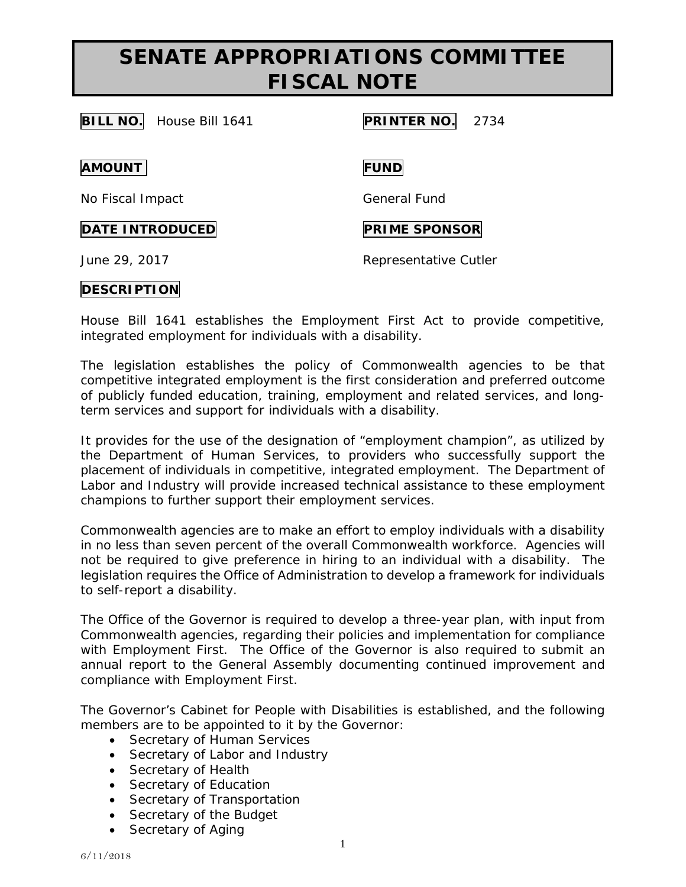# **SENATE APPROPRIATIONS COMMITTEE FISCAL NOTE**

**BILL NO.** House Bill 1641 **PRINTER NO.** 2734

**AMOUNT FUND**

No Fiscal Impact General Fund

## **DATE INTRODUCED PRIME SPONSOR**

June 29, 2017 Representative Cutler

## **DESCRIPTION**

House Bill 1641 establishes the Employment First Act to provide competitive, integrated employment for individuals with a disability.

The legislation establishes the policy of Commonwealth agencies to be that competitive integrated employment is the first consideration and preferred outcome of publicly funded education, training, employment and related services, and longterm services and support for individuals with a disability.

It provides for the use of the designation of "employment champion", as utilized by the Department of Human Services, to providers who successfully support the placement of individuals in competitive, integrated employment. The Department of Labor and Industry will provide increased technical assistance to these employment champions to further support their employment services.

Commonwealth agencies are to make an effort to employ individuals with a disability in no less than seven percent of the overall Commonwealth workforce. Agencies will not be required to give preference in hiring to an individual with a disability. The legislation requires the Office of Administration to develop a framework for individuals to self-report a disability.

The Office of the Governor is required to develop a three-year plan, with input from Commonwealth agencies, regarding their policies and implementation for compliance with Employment First. The Office of the Governor is also required to submit an annual report to the General Assembly documenting continued improvement and compliance with Employment First.

The Governor's Cabinet for People with Disabilities is established, and the following members are to be appointed to it by the Governor:

- Secretary of Human Services
- Secretary of Labor and Industry
- Secretary of Health
- Secretary of Education
- Secretary of Transportation
- Secretary of the Budget
- Secretary of Aging